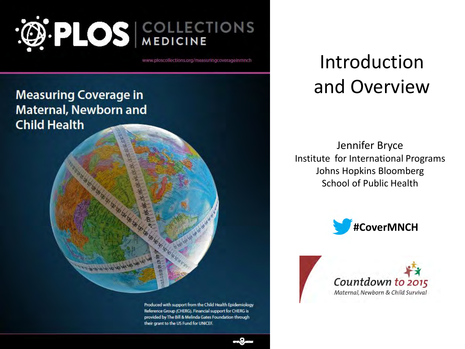

www.ploscollections.org/measuringcoverageinmnch

#### **Measuring Coverage in Maternal, Newborn and Child Health**

Produced with support from the Child Health Epidemiology Reference Group (CHERG). Financial support for CHERG is provided by The Bill & Melinda Gates Foundation through their grant to the US Fund for UNICEF.

### Introduction and Overview

Jennifer Bryce Institute for International Programs Johns Hopkins Bloomberg School of Public Health



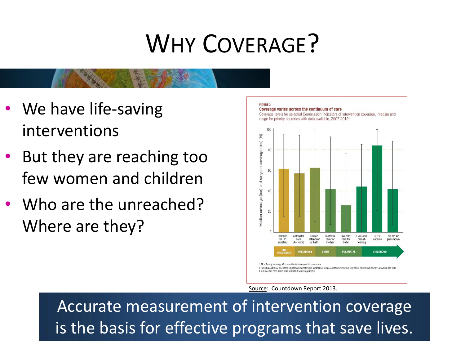# WHY COVERAGE?

- We have life-saving interventions
- But they are reaching too few women and children
- Who are the unreached? Where are they?



Source: Countdown Report 2013.

Accurate measurement of intervention coverage is the basis for effective programs that save lives.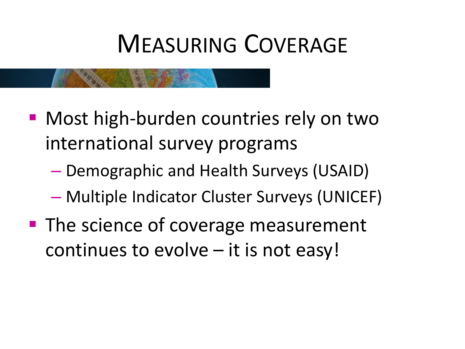### MEASURING COVERAGE

- Most high-burden countries rely on two international survey programs
	- Demographic and Health Surveys (USAID)
	- Multiple Indicator Cluster Surveys (UNICEF)
- **The science of coverage measurement** continues to evolve – it is not easy!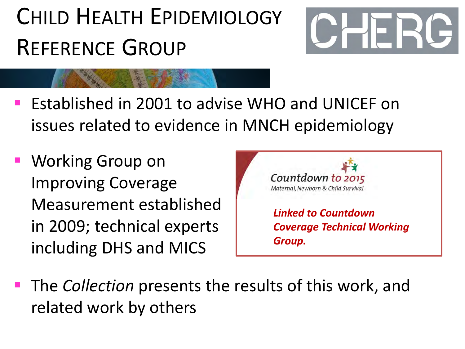# CHILD HEALTH EPIDEMIOLOGY REFERENCE GROUP



- Established in 2001 to advise WHO and UNICEF on issues related to evidence in MNCH epidemiology
- Working Group on Improving Coverage Measurement established in 2009; technical experts including DHS and MICS



**The Collection presents the results of this work, and** related work by others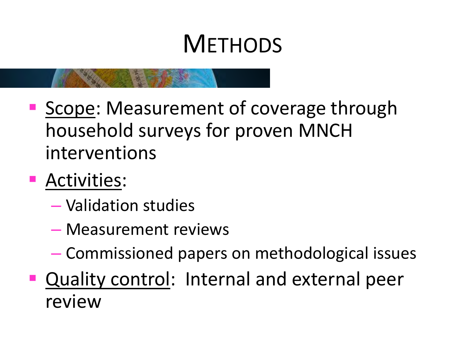## **METHODS**

- Scope: Measurement of coverage through household surveys for proven MNCH interventions
- **Activities:** 
	- Validation studies
	- Measurement reviews
	- Commissioned papers on methodological issues
- **Quality control: Internal and external peer** review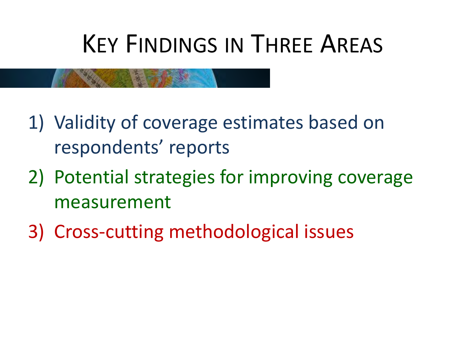## KEY FINDINGS IN THREE AREAS

- 1) Validity of coverage estimates based on respondents' reports
- 2) Potential strategies for improving coverage measurement
- 3) Cross-cutting methodological issues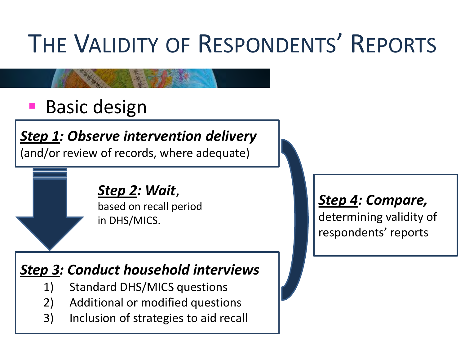## THE VALIDITY OF RESPONDENTS' REPORTS

### **Basic design**

### *Step 1: Observe intervention delivery*

(and/or review of records, where adequate)

#### *Step 2: Wait*,

based on recall period in DHS/MICS.

#### *Step 3: Conduct household interviews*

- 1) Standard DHS/MICS questions
- 2) Additional or modified questions
- 3) Inclusion of strategies to aid recall

#### *Step 4: Compare,*

determining validity of respondents' reports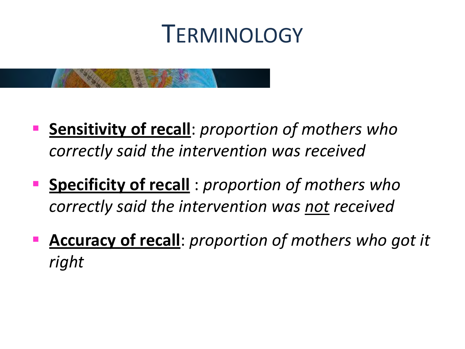### **TERMINOLOGY**



- **Sensitivity of recall:** proportion of mothers who *correctly said the intervention was received*
- **Specificity of recall** : *proportion of mothers who correctly said the intervention was not received*
- **Accuracy of recall**: *proportion of mothers who got it right*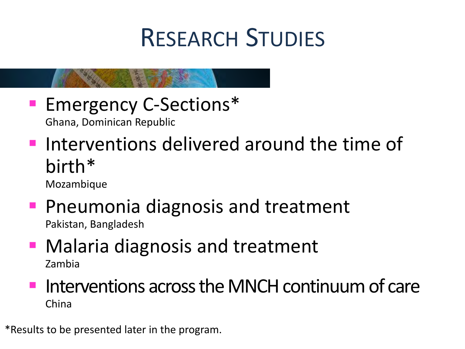## RESEARCH STUDIES

- **Emergency C-Sections\*** Ghana, Dominican Republic
- **Interventions delivered around the time of** birth\*

Mozambique

- **Pheumonia diagnosis and treatment** Pakistan, Bangladesh
- **Malaria diagnosis and treatment** Zambia
- **Interventions across the MNCH continuum of care** China

\*Results to be presented later in the program.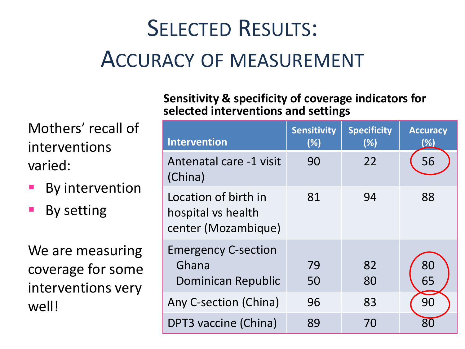## SELECTED RESULTS: ACCURACY OF MEASUREMENT

Mothers' recall of interventions varied:

- **By intervention**
- By setting

We are measuring coverage for some interventions very well!

**Sensitivity & specificity of coverage indicators for selected interventions and settings** 

| <b>Intervention</b>                                               | <b>Sensitivity</b><br>(%) | <b>Specificity</b><br>(%) | <b>Accuracy</b><br>(%) |
|-------------------------------------------------------------------|---------------------------|---------------------------|------------------------|
| Antenatal care -1 visit<br>(China)                                | 90                        | 22                        | 56                     |
| Location of birth in<br>hospital vs health<br>center (Mozambique) | 81                        | 94                        | 88                     |
| <b>Emergency C-section</b><br>Ghana<br>Dominican Republic         | 79<br>50                  | 82<br>80                  | 80<br>65               |
| Any C-section (China)                                             | 96                        | 83                        | 90                     |
| DPT3 vaccine (China)                                              | 89                        | 70                        |                        |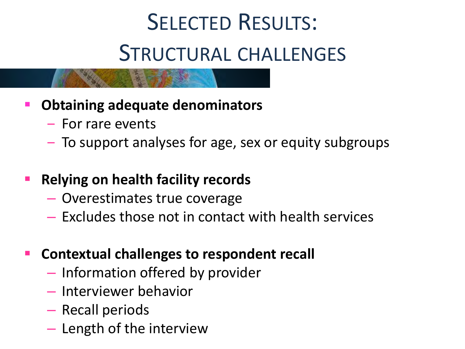## SELECTED RESULTS: STRUCTURAL CHALLENGES

- **Obtaining adequate denominators** 
	- ‒ For rare events
	- ‒ To support analyses for age, sex or equity subgroups
- **Relying on health facility records** 
	- Overestimates true coverage
	- Excludes those not in contact with health services
- **Contextual challenges to respondent recall** 
	- Information offered by provider
	- Interviewer behavior
	- Recall periods
	- Length of the interview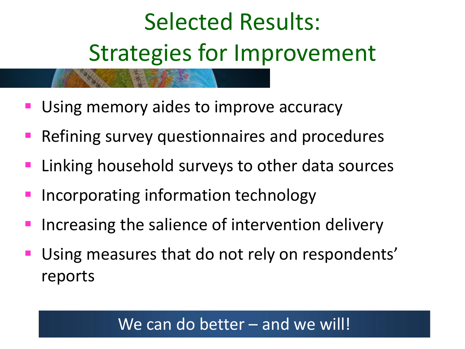# Selected Results: Strategies for Improvement

- Using memory aides to improve accuracy
- Refining survey questionnaires and procedures
- **Linking household surveys to other data sources**
- Incorporating information technology
- Increasing the salience of intervention delivery
- Using measures that do not rely on respondents' reports

#### We can do better – and we will!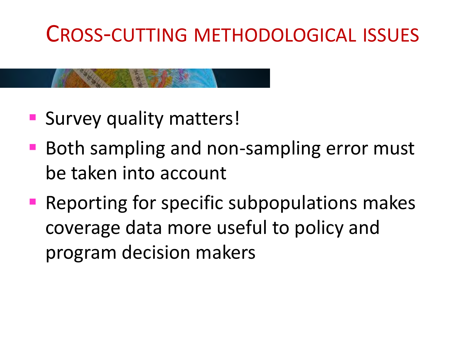### CROSS-CUTTING METHODOLOGICAL ISSUES

- 
- **Survey quality matters!**
- Both sampling and non-sampling error must be taken into account
- **Reporting for specific subpopulations makes** coverage data more useful to policy and program decision makers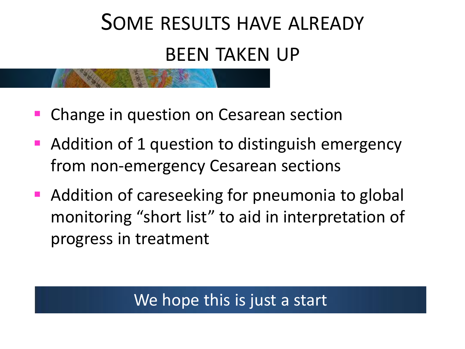## SOME RESULTS HAVE ALREADY BEEN TAKEN UP

- Change in question on Cesarean section
- Addition of 1 question to distinguish emergency from non-emergency Cesarean sections
- **Addition of careseeking for pneumonia to global** monitoring "short list" to aid in interpretation of progress in treatment

#### We hope this is just a start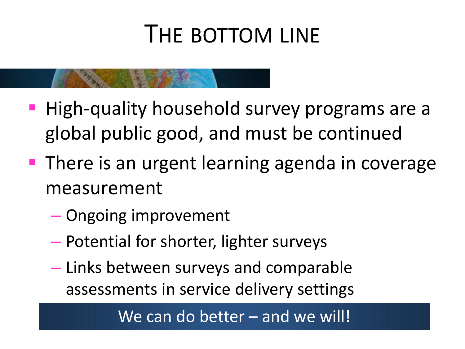## THE BOTTOM LINE

- **High-quality household survey programs are a** global public good, and must be continued
- **There is an urgent learning agenda in coverage** measurement
	- Ongoing improvement
	- Potential for shorter, lighter surveys
	- Links between surveys and comparable assessments in service delivery settings

We can do better – and we will!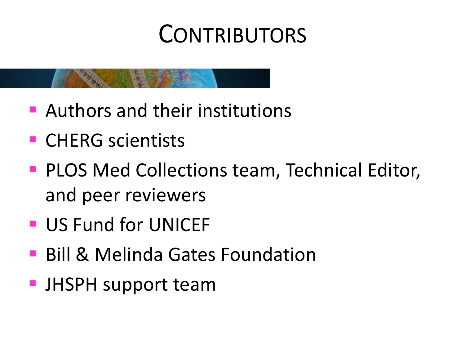## **CONTRIBUTORS**

- **Authors and their institutions**
- **CHERG** scientists
- **PLOS Med Collections team, Technical Editor,** and peer reviewers
- **US Fund for UNICEF**
- **Bill & Melinda Gates Foundation**
- **JHSPH support team**